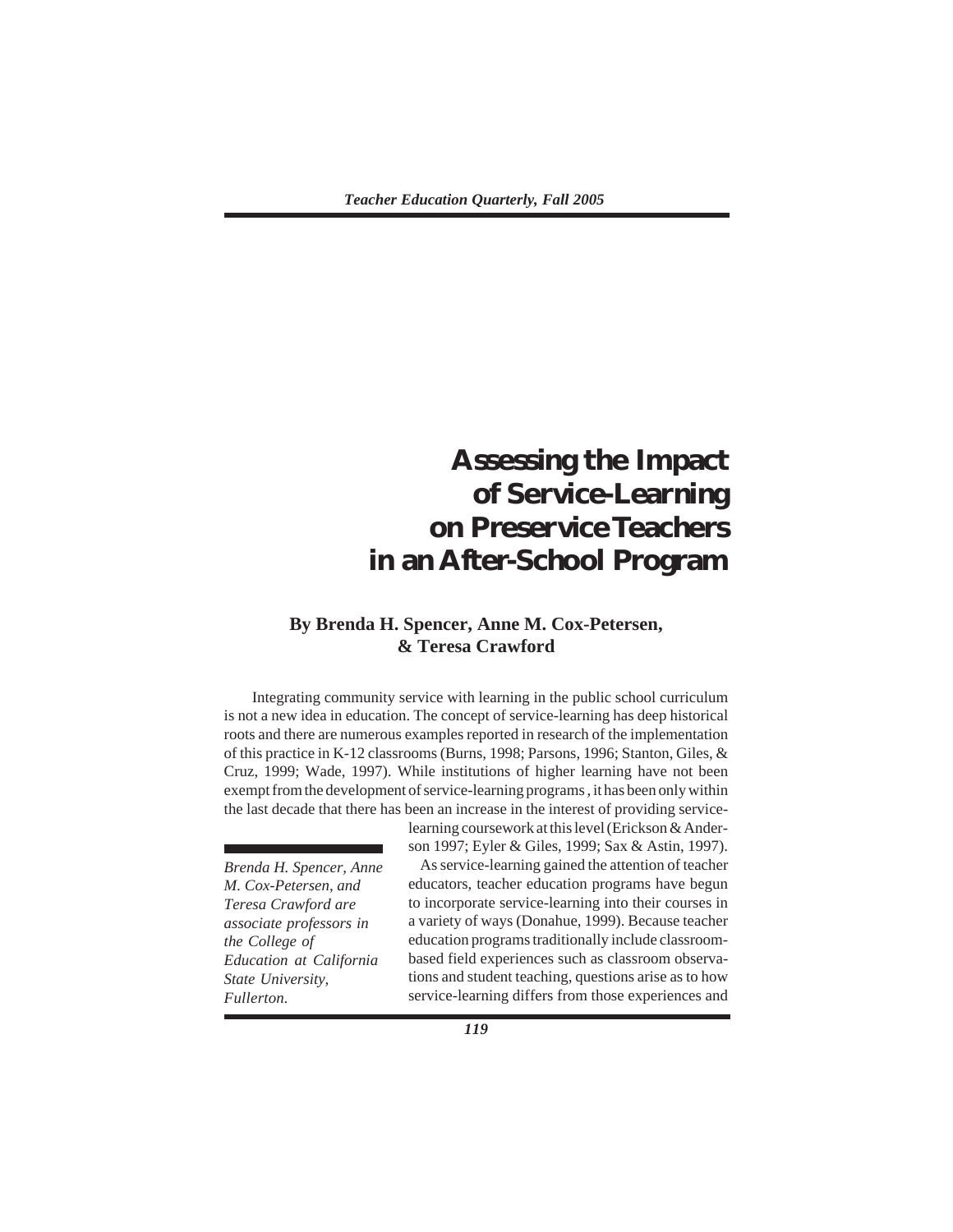# **Assessing the Impact of Service-Learning on Preservice Teachers in an After-School Program**

# **By Brenda H. Spencer, Anne M. Cox-Petersen, & Teresa Crawford**

Integrating community service with learning in the public school curriculum is not a new idea in education. The concept of service-learning has deep historical roots and there are numerous examples reported in research of the implementation of this practice in K-12 classrooms (Burns, 1998; Parsons, 1996; Stanton, Giles, & Cruz, 1999; Wade, 1997). While institutions of higher learning have not been exempt from the development of service-learning programs , it has been only within the last decade that there has been an increase in the interest of providing service-

*Brenda H. Spencer, Anne M. Cox-Petersen, and Teresa Crawford are associate professors in the College of Education at California State University, Fullerton.*

son 1997; Eyler & Giles, 1999; Sax & Astin, 1997). As service-learning gained the attention of teacher educators, teacher education programs have begun to incorporate service-learning into their courses in a variety of ways (Donahue, 1999). Because teacher education programs traditionally include classroombased field experiences such as classroom observations and student teaching, questions arise as to how service-learning differs from those experiences and

learning coursework at this level (Erickson & Ander-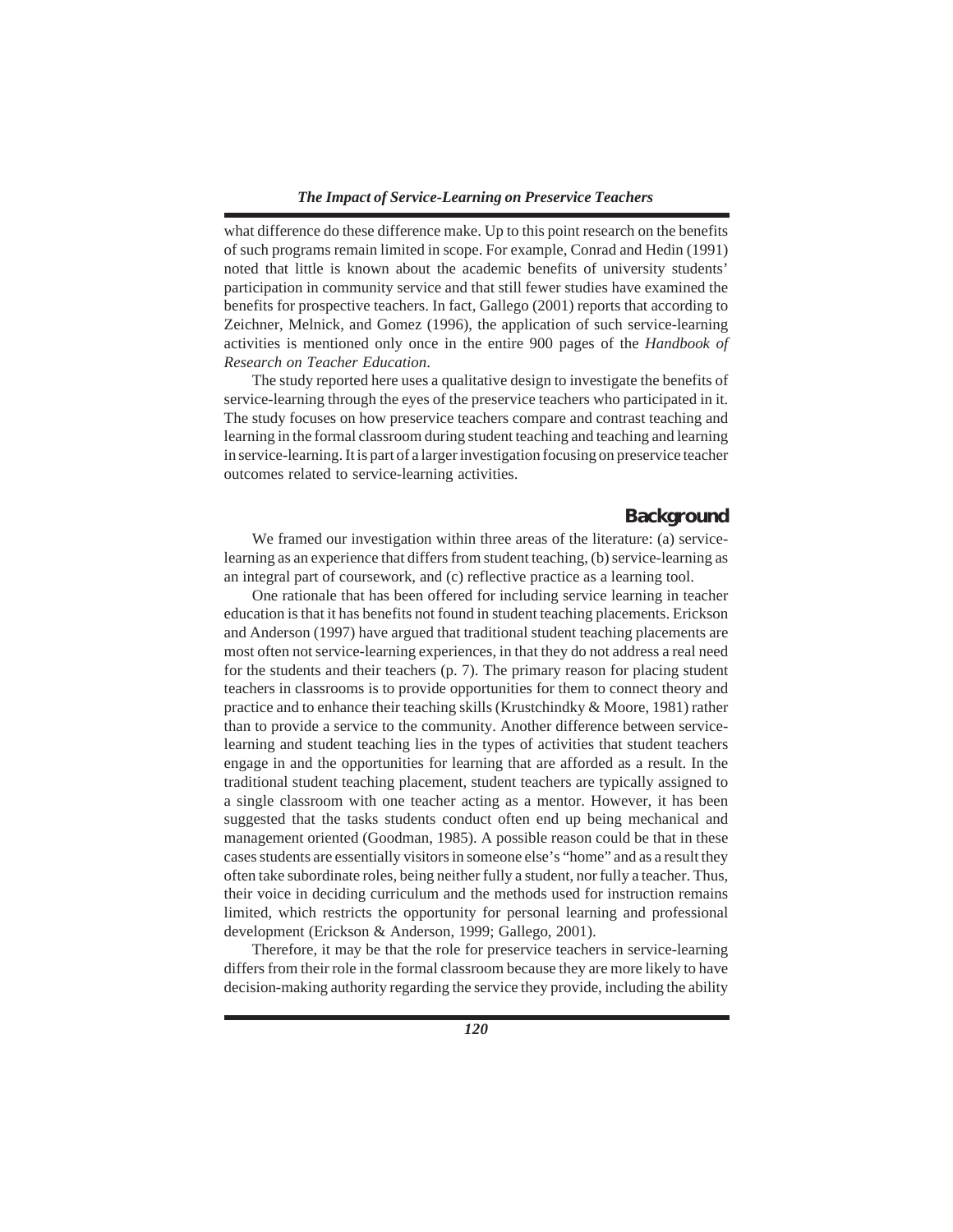what difference do these difference make. Up to this point research on the benefits of such programs remain limited in scope. For example, Conrad and Hedin (1991) noted that little is known about the academic benefits of university students' participation in community service and that still fewer studies have examined the benefits for prospective teachers. In fact, Gallego (2001) reports that according to Zeichner, Melnick, and Gomez (1996), the application of such service-learning activities is mentioned only once in the entire 900 pages of the *Handbook of Research on Teacher Education*.

The study reported here uses a qualitative design to investigate the benefits of service-learning through the eyes of the preservice teachers who participated in it. The study focuses on how preservice teachers compare and contrast teaching and learning in the formal classroom during student teaching and teaching and learning in service-learning. It is part of a larger investigation focusing on preservice teacher outcomes related to service-learning activities.

## **Background**

We framed our investigation within three areas of the literature: (a) servicelearning as an experience that differs from student teaching, (b) service-learning as an integral part of coursework, and (c) reflective practice as a learning tool.

One rationale that has been offered for including service learning in teacher education is that it has benefits not found in student teaching placements. Erickson and Anderson (1997) have argued that traditional student teaching placements are most often not service-learning experiences, in that they do not address a real need for the students and their teachers (p. 7). The primary reason for placing student teachers in classrooms is to provide opportunities for them to connect theory and practice and to enhance their teaching skills (Krustchindky & Moore, 1981) rather than to provide a service to the community. Another difference between servicelearning and student teaching lies in the types of activities that student teachers engage in and the opportunities for learning that are afforded as a result. In the traditional student teaching placement, student teachers are typically assigned to a single classroom with one teacher acting as a mentor. However, it has been suggested that the tasks students conduct often end up being mechanical and management oriented (Goodman, 1985). A possible reason could be that in these cases students are essentially visitors in someone else's "home" and as a result they often take subordinate roles, being neither fully a student, nor fully a teacher. Thus, their voice in deciding curriculum and the methods used for instruction remains limited, which restricts the opportunity for personal learning and professional development (Erickson & Anderson, 1999; Gallego, 2001).

Therefore, it may be that the role for preservice teachers in service-learning differs from their role in the formal classroom because they are more likely to have decision-making authority regarding the service they provide, including the ability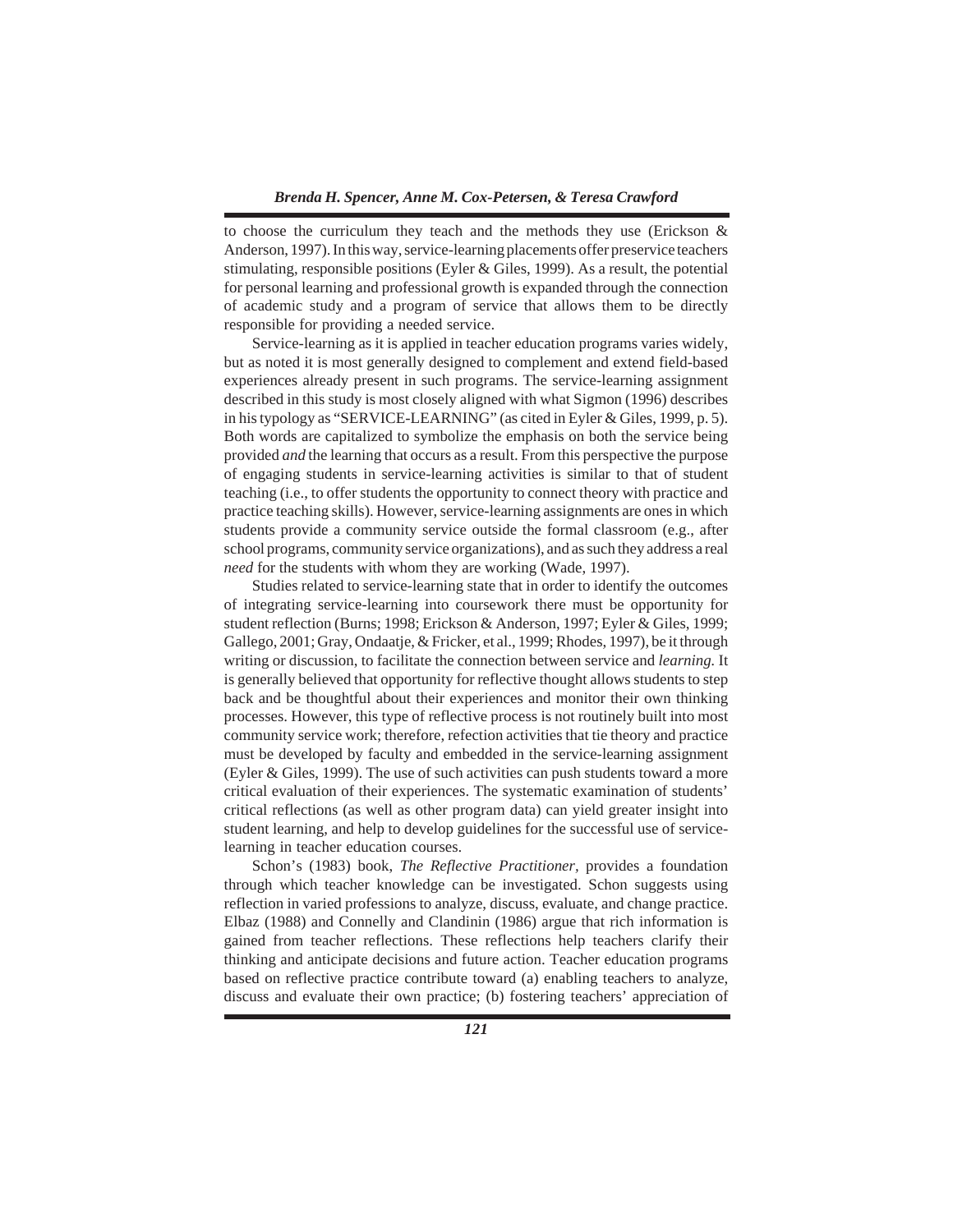to choose the curriculum they teach and the methods they use (Erickson & Anderson, 1997). In this way, service-learning placements offer preservice teachers stimulating, responsible positions (Eyler & Giles, 1999). As a result, the potential for personal learning and professional growth is expanded through the connection of academic study and a program of service that allows them to be directly responsible for providing a needed service.

Service-learning as it is applied in teacher education programs varies widely, but as noted it is most generally designed to complement and extend field-based experiences already present in such programs. The service-learning assignment described in this study is most closely aligned with what Sigmon (1996) describes in his typology as "SERVICE-LEARNING" (as cited in Eyler & Giles, 1999, p. 5). Both words are capitalized to symbolize the emphasis on both the service being provided *and* the learning that occurs as a result. From this perspective the purpose of engaging students in service-learning activities is similar to that of student teaching (i.e., to offer students the opportunity to connect theory with practice and practice teaching skills). However, service-learning assignments are ones in which students provide a community service outside the formal classroom (e.g., after school programs, community service organizations), and as such they address a real *need* for the students with whom they are working (Wade, 1997).

Studies related to service-learning state that in order to identify the outcomes of integrating service-learning into coursework there must be opportunity for student reflection (Burns; 1998; Erickson & Anderson, 1997; Eyler & Giles, 1999; Gallego, 2001; Gray, Ondaatje, & Fricker, et al., 1999; Rhodes, 1997), be it through writing or discussion, to facilitate the connection between service and *learning.* It is generally believed that opportunity for reflective thought allows students to step back and be thoughtful about their experiences and monitor their own thinking processes. However, this type of reflective process is not routinely built into most community service work; therefore, refection activities that tie theory and practice must be developed by faculty and embedded in the service-learning assignment (Eyler & Giles, 1999). The use of such activities can push students toward a more critical evaluation of their experiences. The systematic examination of students' critical reflections (as well as other program data) can yield greater insight into student learning, and help to develop guidelines for the successful use of servicelearning in teacher education courses.

Schon's (1983) book, *The Reflective Practitioner,* provides a foundation through which teacher knowledge can be investigated. Schon suggests using reflection in varied professions to analyze, discuss, evaluate, and change practice. Elbaz (1988) and Connelly and Clandinin (1986) argue that rich information is gained from teacher reflections. These reflections help teachers clarify their thinking and anticipate decisions and future action. Teacher education programs based on reflective practice contribute toward (a) enabling teachers to analyze, discuss and evaluate their own practice; (b) fostering teachers' appreciation of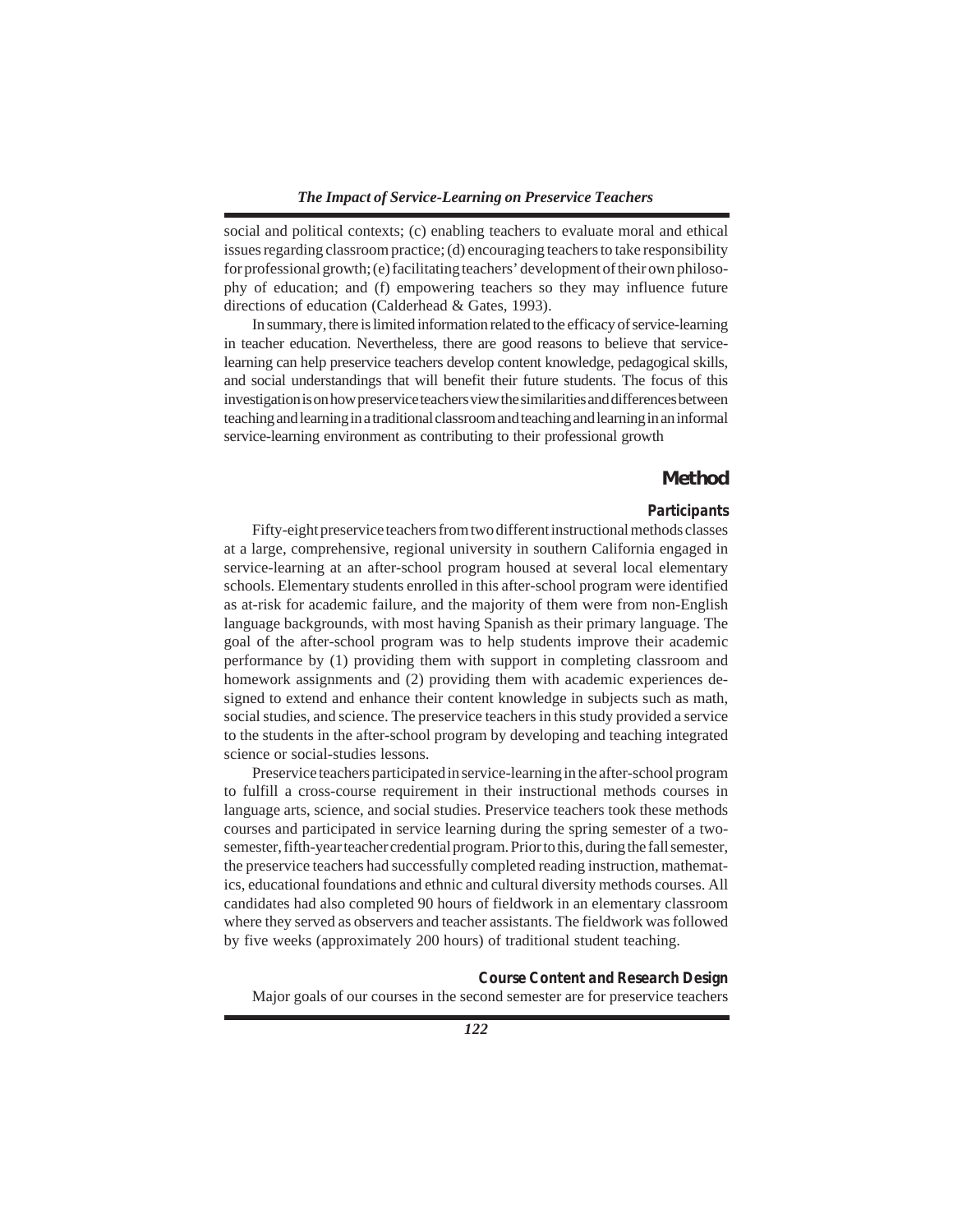social and political contexts; (c) enabling teachers to evaluate moral and ethical issues regarding classroom practice; (d) encouraging teachers to take responsibility for professional growth; (e) facilitating teachers' development of their own philosophy of education; and (f) empowering teachers so they may influence future directions of education (Calderhead & Gates, 1993).

In summary, there is limited information related to the efficacy of service-learning in teacher education. Nevertheless, there are good reasons to believe that servicelearning can help preservice teachers develop content knowledge, pedagogical skills, and social understandings that will benefit their future students. The focus of this investigation is on how preservice teachers view the similarities and differences between teaching and learning in a traditional classroom and teaching and learning in an informal service-learning environment as contributing to their professional growth

# **Method**

## *Participants*

Fifty-eight preservice teachers from two different instructional methods classes at a large, comprehensive, regional university in southern California engaged in service-learning at an after-school program housed at several local elementary schools. Elementary students enrolled in this after-school program were identified as at-risk for academic failure, and the majority of them were from non-English language backgrounds, with most having Spanish as their primary language. The goal of the after-school program was to help students improve their academic performance by (1) providing them with support in completing classroom and homework assignments and (2) providing them with academic experiences designed to extend and enhance their content knowledge in subjects such as math, social studies, and science. The preservice teachers in this study provided a service to the students in the after-school program by developing and teaching integrated science or social-studies lessons.

Preservice teachers participated in service-learning in the after-school program to fulfill a cross-course requirement in their instructional methods courses in language arts, science, and social studies. Preservice teachers took these methods courses and participated in service learning during the spring semester of a twosemester, fifth-year teacher credential program. Prior to this, during the fall semester, the preservice teachers had successfully completed reading instruction, mathematics, educational foundations and ethnic and cultural diversity methods courses. All candidates had also completed 90 hours of fieldwork in an elementary classroom where they served as observers and teacher assistants. The fieldwork was followed by five weeks (approximately 200 hours) of traditional student teaching.

*Course Content and Research Design* Major goals of our courses in the second semester are for preservice teachers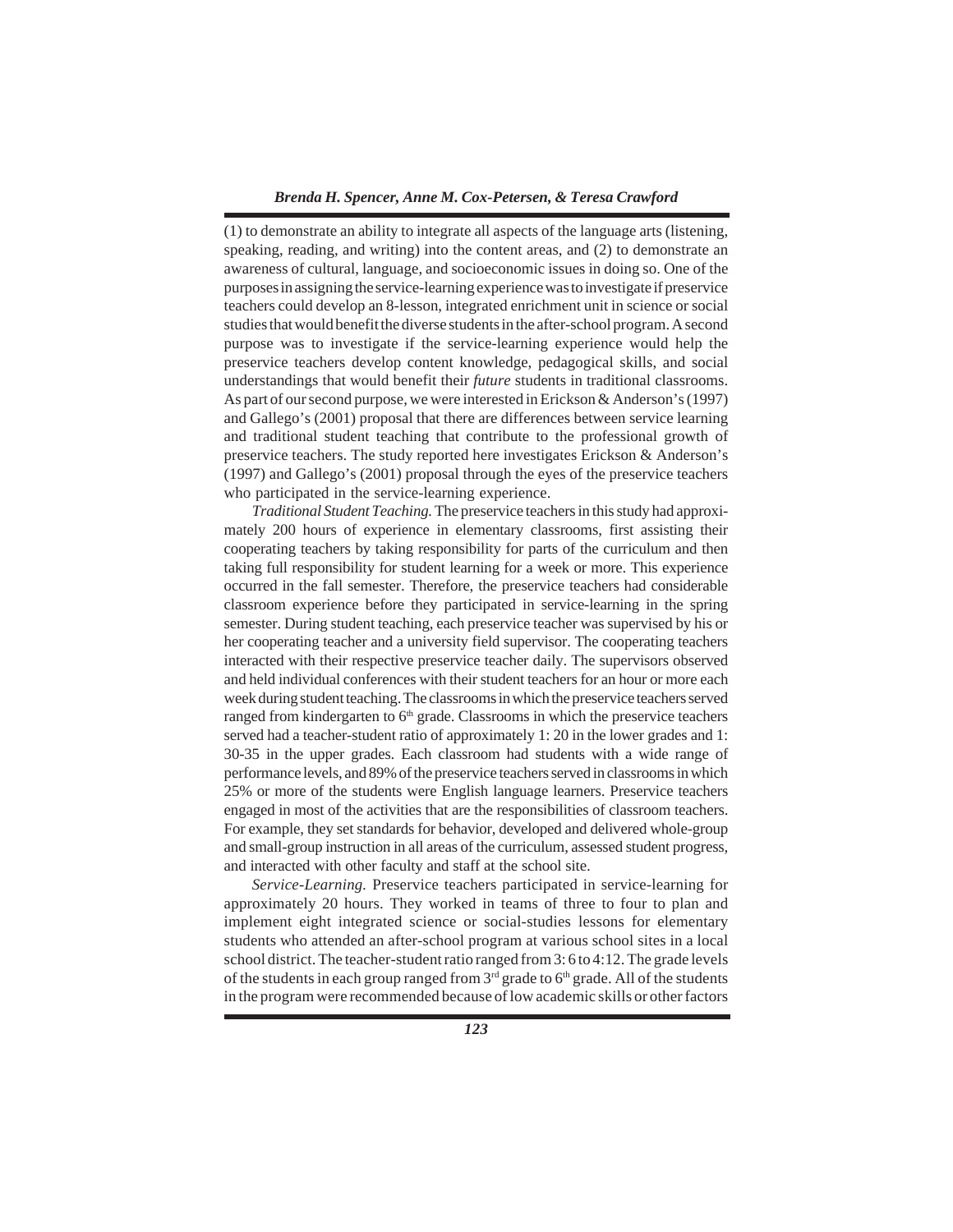(1) to demonstrate an ability to integrate all aspects of the language arts (listening, speaking, reading, and writing) into the content areas, and (2) to demonstrate an awareness of cultural, language, and socioeconomic issues in doing so. One of the purposes in assigning the service-learning experience was to investigate if preservice teachers could develop an 8-lesson, integrated enrichment unit in science or social studies that would benefit the diverse students in the after-school program. A second purpose was to investigate if the service-learning experience would help the preservice teachers develop content knowledge, pedagogical skills, and social understandings that would benefit their *future* students in traditional classrooms. As part of our second purpose, we were interested in Erickson & Anderson's (1997) and Gallego's (2001) proposal that there are differences between service learning and traditional student teaching that contribute to the professional growth of preservice teachers. The study reported here investigates Erickson & Anderson's (1997) and Gallego's (2001) proposal through the eyes of the preservice teachers who participated in the service-learning experience.

*Traditional Student Teaching.* The preservice teachers in this study had approximately 200 hours of experience in elementary classrooms, first assisting their cooperating teachers by taking responsibility for parts of the curriculum and then taking full responsibility for student learning for a week or more. This experience occurred in the fall semester. Therefore, the preservice teachers had considerable classroom experience before they participated in service-learning in the spring semester. During student teaching, each preservice teacher was supervised by his or her cooperating teacher and a university field supervisor. The cooperating teachers interacted with their respective preservice teacher daily. The supervisors observed and held individual conferences with their student teachers for an hour or more each week during student teaching. The classrooms in which the preservice teachers served ranged from kindergarten to  $6<sup>th</sup>$  grade. Classrooms in which the preservice teachers served had a teacher-student ratio of approximately 1: 20 in the lower grades and 1: 30-35 in the upper grades. Each classroom had students with a wide range of performance levels, and 89% of the preservice teachers served in classrooms in which 25% or more of the students were English language learners. Preservice teachers engaged in most of the activities that are the responsibilities of classroom teachers. For example, they set standards for behavior, developed and delivered whole-group and small-group instruction in all areas of the curriculum, assessed student progress, and interacted with other faculty and staff at the school site.

*Service-Learning.* Preservice teachers participated in service-learning for approximately 20 hours. They worked in teams of three to four to plan and implement eight integrated science or social-studies lessons for elementary students who attended an after-school program at various school sites in a local school district. The teacher-student ratio ranged from 3: 6 to 4:12. The grade levels of the students in each group ranged from  $3<sup>rd</sup>$  grade to  $6<sup>th</sup>$  grade. All of the students in the program were recommended because of low academic skills or other factors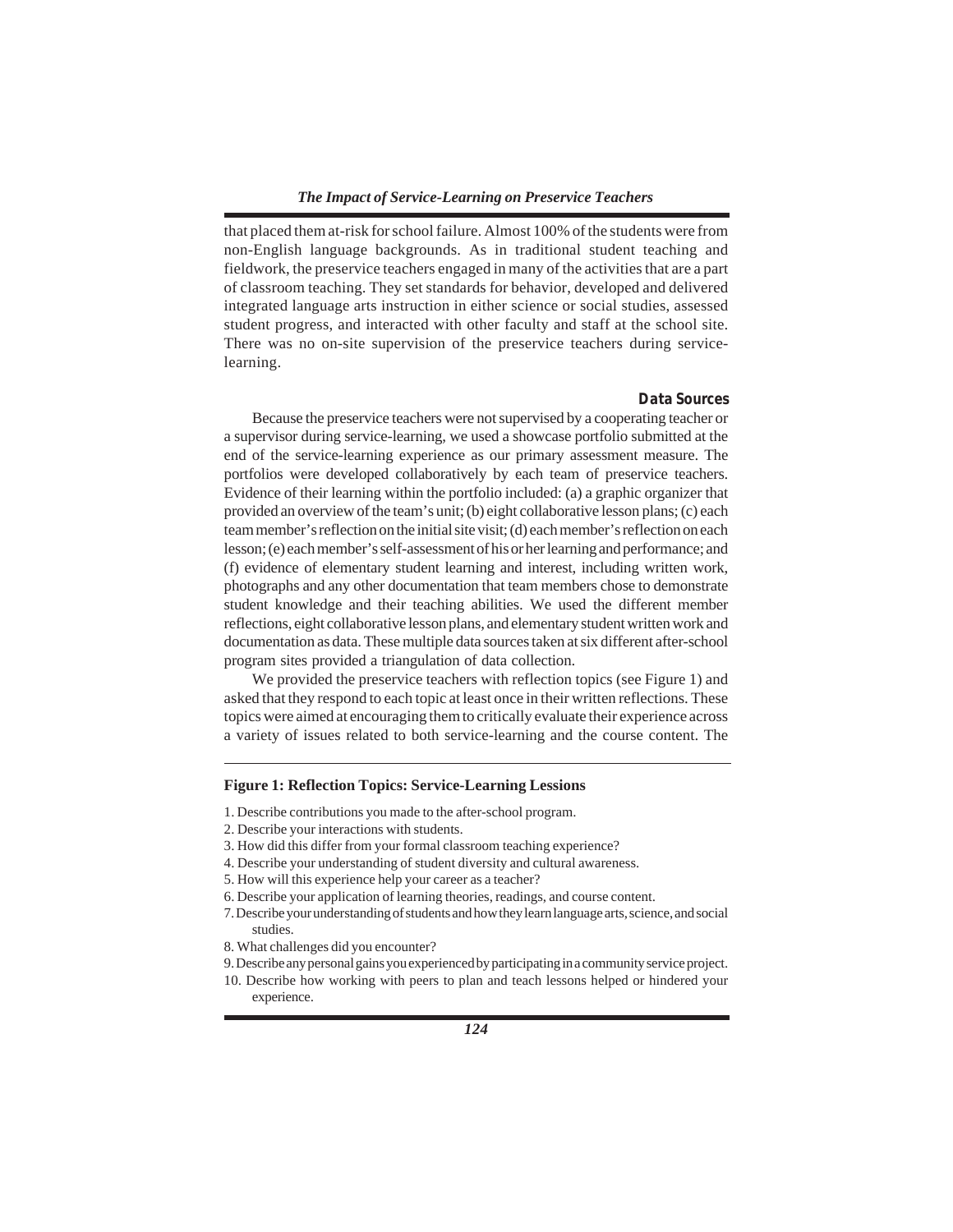that placed them at-risk for school failure. Almost 100% of the students were from non-English language backgrounds. As in traditional student teaching and fieldwork, the preservice teachers engaged in many of the activities that are a part of classroom teaching. They set standards for behavior, developed and delivered integrated language arts instruction in either science or social studies, assessed student progress, and interacted with other faculty and staff at the school site. There was no on-site supervision of the preservice teachers during servicelearning.

#### *Data Sources*

Because the preservice teachers were not supervised by a cooperating teacher or a supervisor during service-learning, we used a showcase portfolio submitted at the end of the service-learning experience as our primary assessment measure. The portfolios were developed collaboratively by each team of preservice teachers. Evidence of their learning within the portfolio included: (a) a graphic organizer that provided an overview of the team's unit; (b) eight collaborative lesson plans; (c) each team member's reflection on the initial site visit; (d) each member's reflection on each lesson; (e) each member's self-assessment of his or her learning and performance; and (f) evidence of elementary student learning and interest, including written work, photographs and any other documentation that team members chose to demonstrate student knowledge and their teaching abilities. We used the different member reflections, eight collaborative lesson plans, and elementary student written work and documentation as data. These multiple data sources taken at six different after-school program sites provided a triangulation of data collection.

We provided the preservice teachers with reflection topics (see Figure 1) and asked that they respond to each topic at least once in their written reflections. These topics were aimed at encouraging them to critically evaluate their experience across a variety of issues related to both service-learning and the course content. The

## **Figure 1: Reflection Topics: Service-Learning Lessions**

- 1. Describe contributions you made to the after-school program.
- 2. Describe your interactions with students.
- 3. How did this differ from your formal classroom teaching experience?
- 4. Describe your understanding of student diversity and cultural awareness.
- 5. How will this experience help your career as a teacher?
- 6. Describe your application of learning theories, readings, and course content.
- 7. Describe your understanding of students and how they learn language arts, science, and social studies.
- 8. What challenges did you encounter?
- 9. Describe any personal gains you experienced by participating in a community service project.
- 10. Describe how working with peers to plan and teach lessons helped or hindered your experience.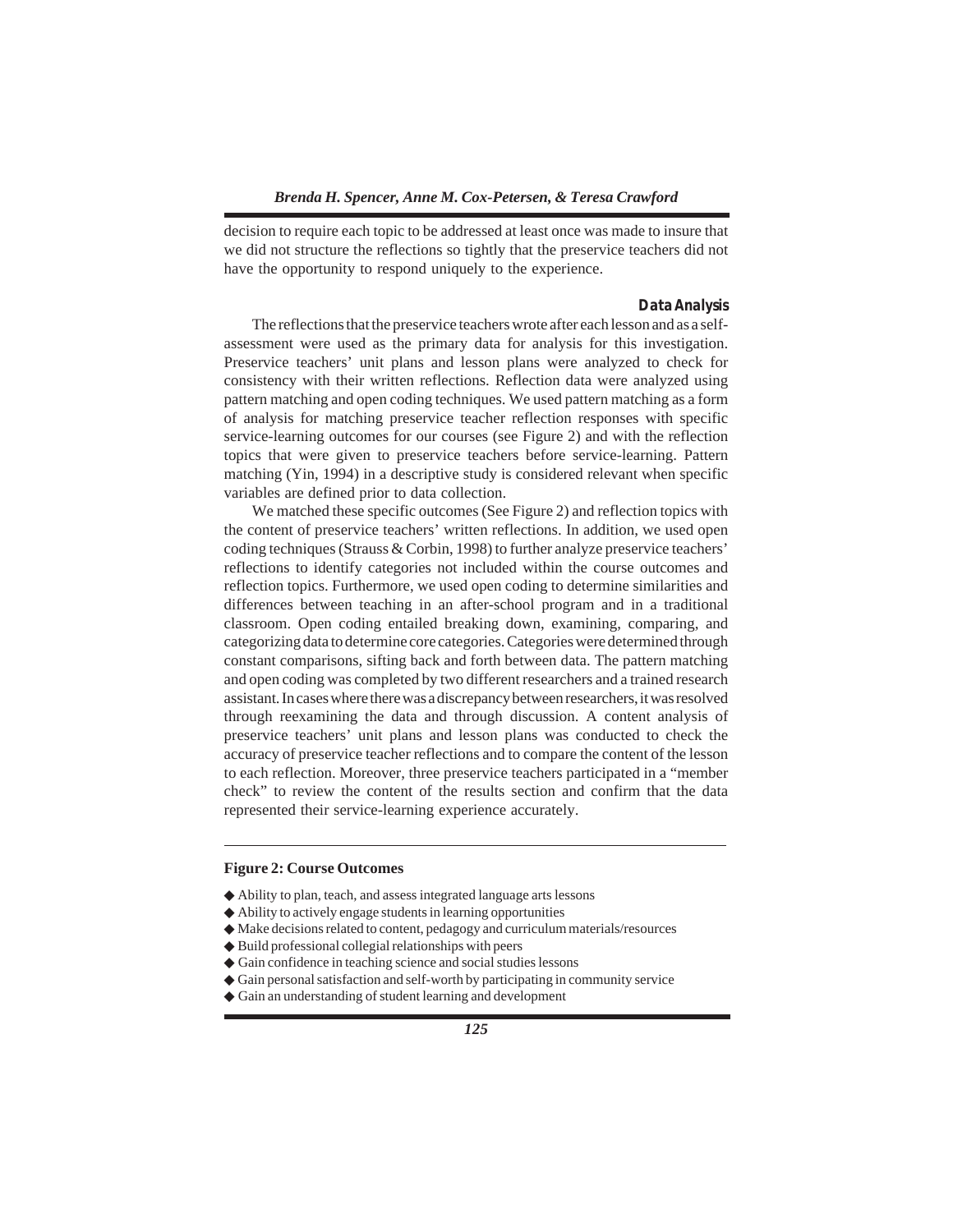decision to require each topic to be addressed at least once was made to insure that we did not structure the reflections so tightly that the preservice teachers did not have the opportunity to respond uniquely to the experience.

#### *Data Analysis*

The reflections that the preservice teachers wrote after each lesson and as a selfassessment were used as the primary data for analysis for this investigation. Preservice teachers' unit plans and lesson plans were analyzed to check for consistency with their written reflections. Reflection data were analyzed using pattern matching and open coding techniques. We used pattern matching as a form of analysis for matching preservice teacher reflection responses with specific service-learning outcomes for our courses (see Figure 2) and with the reflection topics that were given to preservice teachers before service-learning. Pattern matching (Yin, 1994) in a descriptive study is considered relevant when specific variables are defined prior to data collection.

We matched these specific outcomes (See Figure 2) and reflection topics with the content of preservice teachers' written reflections. In addition, we used open coding techniques (Strauss & Corbin, 1998) to further analyze preservice teachers' reflections to identify categories not included within the course outcomes and reflection topics. Furthermore, we used open coding to determine similarities and differences between teaching in an after-school program and in a traditional classroom. Open coding entailed breaking down, examining, comparing, and categorizing data to determine core categories. Categories were determined through constant comparisons, sifting back and forth between data. The pattern matching and open coding was completed by two different researchers and a trained research assistant. In cases where there was a discrepancy between researchers, it was resolved through reexamining the data and through discussion. A content analysis of preservice teachers' unit plans and lesson plans was conducted to check the accuracy of preservice teacher reflections and to compare the content of the lesson to each reflection. Moreover, three preservice teachers participated in a "member check" to review the content of the results section and confirm that the data represented their service-learning experience accurately.

#### **Figure 2: Course Outcomes**

- ◆ Ability to plan, teach, and assess integrated language arts lessons
- ◆ Ability to actively engage students in learning opportunities
- ◆ Make decisions related to content, pedagogy and curriculum materials/resources
- ◆ Build professional collegial relationships with peers
- ◆ Gain confidence in teaching science and social studies lessons
- ◆ Gain personal satisfaction and self-worth by participating in community service
- ◆ Gain an understanding of student learning and development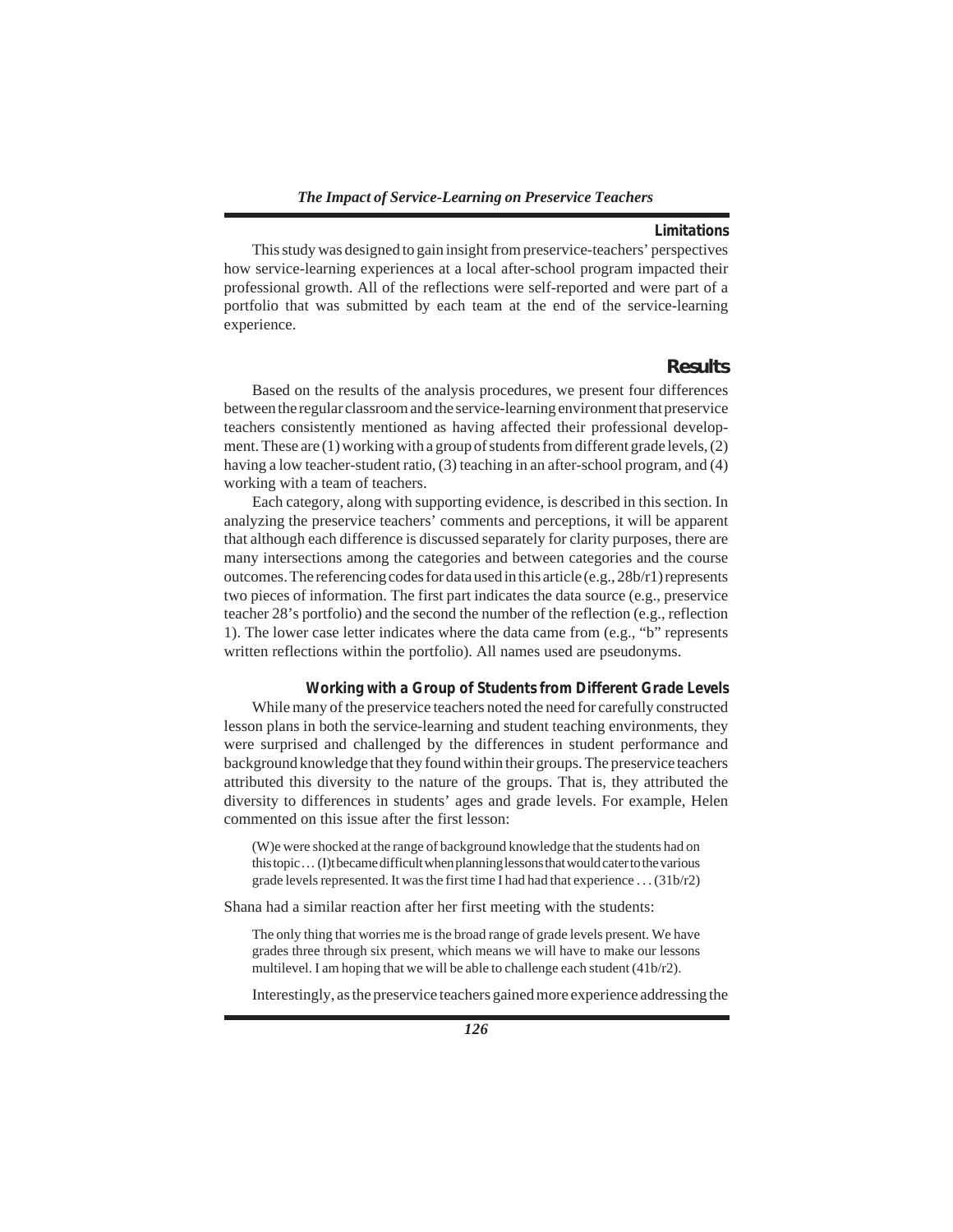## *Limitations*

This study was designed to gain insight from preservice-teachers' perspectives how service-learning experiences at a local after-school program impacted their professional growth. All of the reflections were self-reported and were part of a portfolio that was submitted by each team at the end of the service-learning experience.

# **Results**

Based on the results of the analysis procedures, we present four differences between the regular classroom and the service-learning environment that preservice teachers consistently mentioned as having affected their professional development. These are (1) working with a group of students from different grade levels, (2) having a low teacher-student ratio, (3) teaching in an after-school program, and (4) working with a team of teachers.

Each category, along with supporting evidence, is described in this section. In analyzing the preservice teachers' comments and perceptions, it will be apparent that although each difference is discussed separately for clarity purposes, there are many intersections among the categories and between categories and the course outcomes. The referencing codes for data used in this article (e.g.,  $28b/r1$ ) represents two pieces of information. The first part indicates the data source (e.g., preservice teacher 28's portfolio) and the second the number of the reflection (e.g., reflection 1). The lower case letter indicates where the data came from (e.g., "b" represents written reflections within the portfolio). All names used are pseudonyms.

#### *Working with a Group of Students from Different Grade Levels*

While many of the preservice teachers noted the need for carefully constructed lesson plans in both the service-learning and student teaching environments, they were surprised and challenged by the differences in student performance and background knowledge that they found within their groups. The preservice teachers attributed this diversity to the nature of the groups. That is, they attributed the diversity to differences in students' ages and grade levels. For example, Helen commented on this issue after the first lesson:

(W)e were shocked at the range of background knowledge that the students had on this topic . . . (I)t became difficult when planning lessons that would cater to the various grade levels represented. It was the first time I had had that experience . . . (31b/r2)

Shana had a similar reaction after her first meeting with the students:

The only thing that worries me is the broad range of grade levels present. We have grades three through six present, which means we will have to make our lessons multilevel. I am hoping that we will be able to challenge each student (41b/r2).

Interestingly, as the preservice teachers gained more experience addressing the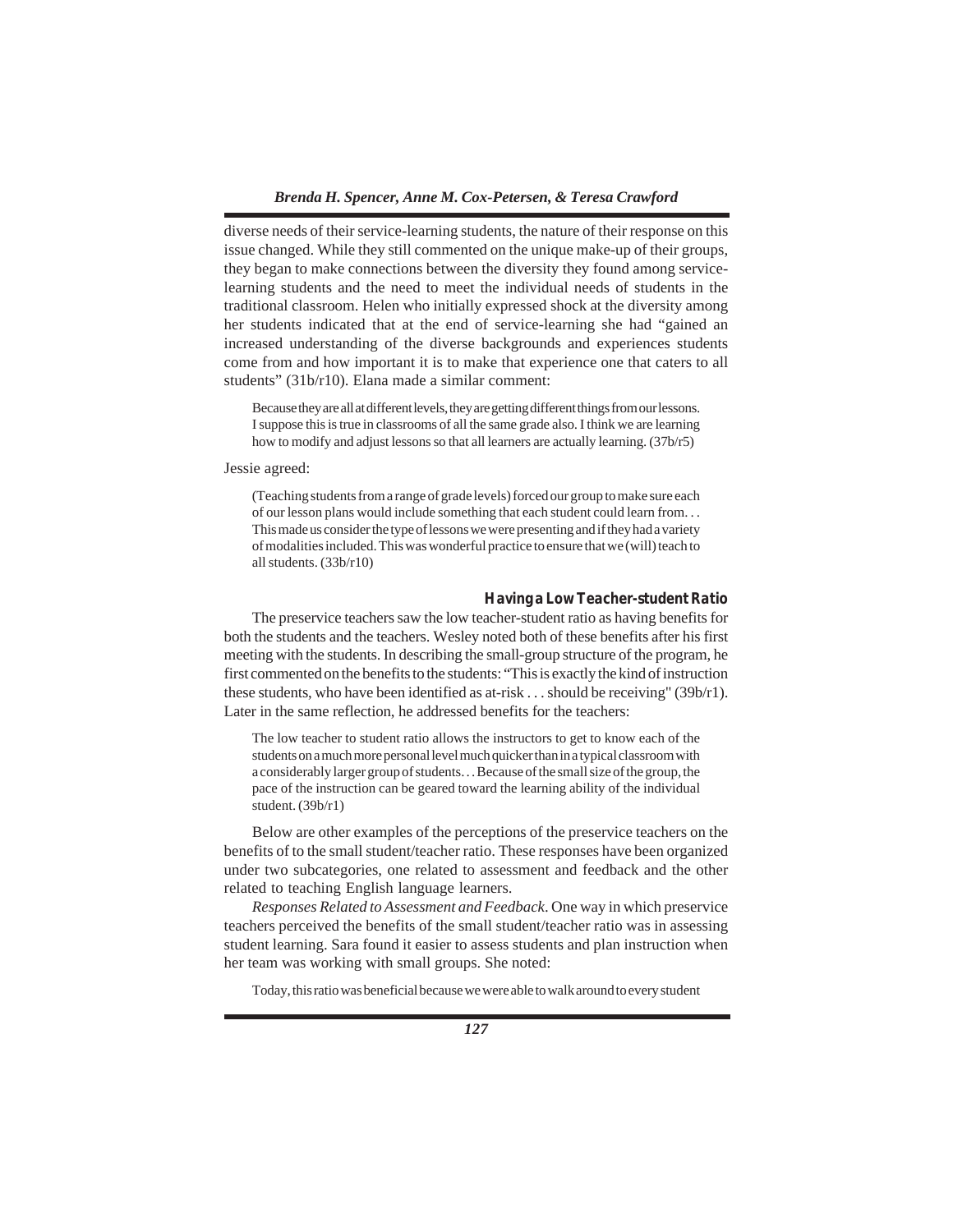diverse needs of their service-learning students, the nature of their response on this issue changed. While they still commented on the unique make-up of their groups, they began to make connections between the diversity they found among servicelearning students and the need to meet the individual needs of students in the traditional classroom. Helen who initially expressed shock at the diversity among her students indicated that at the end of service-learning she had "gained an increased understanding of the diverse backgrounds and experiences students come from and how important it is to make that experience one that caters to all students" (31b/r10). Elana made a similar comment:

Because they are all at different levels, they are getting different things from our lessons. I suppose this is true in classrooms of all the same grade also. I think we are learning how to modify and adjust lessons so that all learners are actually learning. (37b/r5)

Jessie agreed:

(Teaching students from a range of grade levels) forced our group to make sure each of our lesson plans would include something that each student could learn from. . . This made us consider the type of lessons we were presenting and if they had a variety of modalities included. This was wonderful practice to ensure that we (will) teach to all students. (33b/r10)

## *Having a Low Teacher-student Ratio*

The preservice teachers saw the low teacher-student ratio as having benefits for both the students and the teachers. Wesley noted both of these benefits after his first meeting with the students. In describing the small-group structure of the program, he first commented on the benefits to the students: "This is exactly the kind of instruction these students, who have been identified as at-risk . . . should be receiving" (39b/r1). Later in the same reflection, he addressed benefits for the teachers:

The low teacher to student ratio allows the instructors to get to know each of the students on a much more personal level much quicker than in a typical classroom with a considerably larger group of students. . . Because of the small size of the group, the pace of the instruction can be geared toward the learning ability of the individual student. (39b/r1)

Below are other examples of the perceptions of the preservice teachers on the benefits of to the small student/teacher ratio. These responses have been organized under two subcategories, one related to assessment and feedback and the other related to teaching English language learners.

*Responses Related to Assessment and Feedback*. One way in which preservice teachers perceived the benefits of the small student/teacher ratio was in assessing student learning. Sara found it easier to assess students and plan instruction when her team was working with small groups. She noted:

Today, this ratio was beneficial because we were able to walk around to every student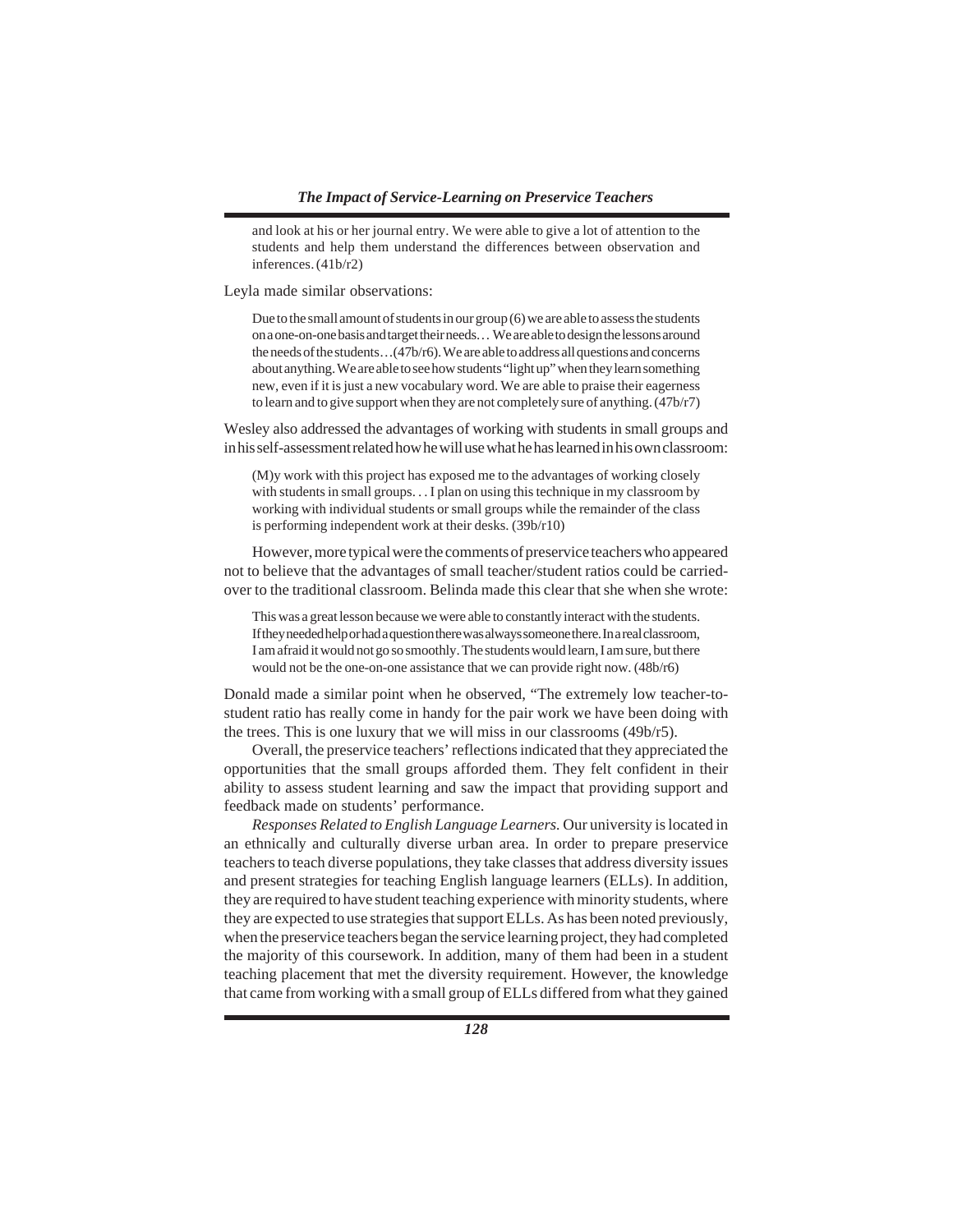and look at his or her journal entry. We were able to give a lot of attention to the students and help them understand the differences between observation and inferences. (41b/r2)

Leyla made similar observations:

Due to the small amount of students in our group (6) we are able to assess the students on a one-on-one basis and target their needs. . . We are able to design the lessons around the needs of the students…(47b/r6). We are able to address all questions and concerns about anything. We are able to see how students "light up" when they learn something new, even if it is just a new vocabulary word. We are able to praise their eagerness to learn and to give support when they are not completely sure of anything. (47b/r7)

Wesley also addressed the advantages of working with students in small groups and in his self-assessment related how he will use what he has learned in his own classroom:

(M)y work with this project has exposed me to the advantages of working closely with students in small groups. . . I plan on using this technique in my classroom by working with individual students or small groups while the remainder of the class is performing independent work at their desks. (39b/r10)

However, more typical were the comments of preservice teachers who appeared not to believe that the advantages of small teacher/student ratios could be carriedover to the traditional classroom. Belinda made this clear that she when she wrote:

This was a great lesson because we were able to constantly interact with the students. If they needed help or had a question there was always someone there. In a real classroom, I am afraid it would not go so smoothly. The students would learn, I am sure, but there would not be the one-on-one assistance that we can provide right now. (48b/r6)

Donald made a similar point when he observed, "The extremely low teacher-tostudent ratio has really come in handy for the pair work we have been doing with the trees. This is one luxury that we will miss in our classrooms (49b/r5).

Overall, the preservice teachers' reflections indicated that they appreciated the opportunities that the small groups afforded them. They felt confident in their ability to assess student learning and saw the impact that providing support and feedback made on students' performance.

*Responses Related to English Language Learners.* Our university is located in an ethnically and culturally diverse urban area. In order to prepare preservice teachers to teach diverse populations, they take classes that address diversity issues and present strategies for teaching English language learners (ELLs). In addition, they are required to have student teaching experience with minority students, where they are expected to use strategies that support ELLs. As has been noted previously, when the preservice teachers began the service learning project, they had completed the majority of this coursework. In addition, many of them had been in a student teaching placement that met the diversity requirement. However, the knowledge that came from working with a small group of ELLs differed from what they gained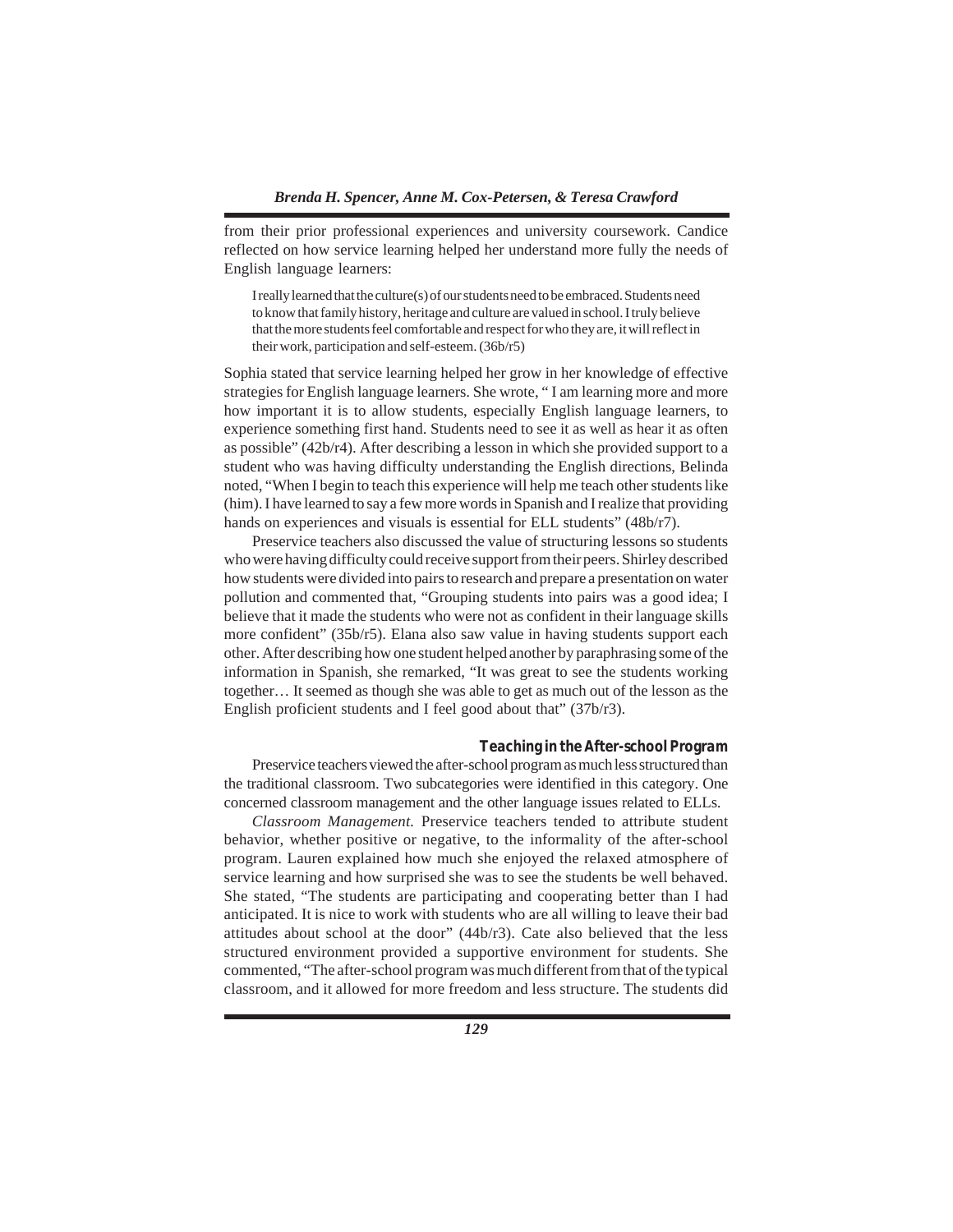from their prior professional experiences and university coursework. Candice reflected on how service learning helped her understand more fully the needs of English language learners:

I really learned that the culture(s) of our students need to be embraced. Students need to know that family history, heritage and culture are valued in school. I truly believe that the more students feel comfortable and respect for who they are, it will reflect in their work, participation and self-esteem. (36b/r5)

Sophia stated that service learning helped her grow in her knowledge of effective strategies for English language learners. She wrote, " I am learning more and more how important it is to allow students, especially English language learners, to experience something first hand. Students need to see it as well as hear it as often as possible" (42b/r4). After describing a lesson in which she provided support to a student who was having difficulty understanding the English directions, Belinda noted, "When I begin to teach this experience will help me teach other students like (him). I have learned to say a few more words in Spanish and I realize that providing hands on experiences and visuals is essential for ELL students" (48b/r7).

Preservice teachers also discussed the value of structuring lessons so students who were having difficulty could receive support from their peers. Shirley described how students were divided into pairs to research and prepare a presentation on water pollution and commented that, "Grouping students into pairs was a good idea; I believe that it made the students who were not as confident in their language skills more confident" (35b/r5). Elana also saw value in having students support each other. After describing how one student helped another by paraphrasing some of the information in Spanish, she remarked, "It was great to see the students working together… It seemed as though she was able to get as much out of the lesson as the English proficient students and I feel good about that" (37b/r3).

#### *Teaching in the After-school Program*

Preservice teachers viewed the after-school program as much less structured than the traditional classroom. Two subcategories were identified in this category. One concerned classroom management and the other language issues related to ELLs.

*Classroom Management.* Preservice teachers tended to attribute student behavior, whether positive or negative, to the informality of the after-school program. Lauren explained how much she enjoyed the relaxed atmosphere of service learning and how surprised she was to see the students be well behaved. She stated, "The students are participating and cooperating better than I had anticipated. It is nice to work with students who are all willing to leave their bad attitudes about school at the door" (44b/r3). Cate also believed that the less structured environment provided a supportive environment for students. She commented, "The after-school program was much different from that of the typical classroom, and it allowed for more freedom and less structure. The students did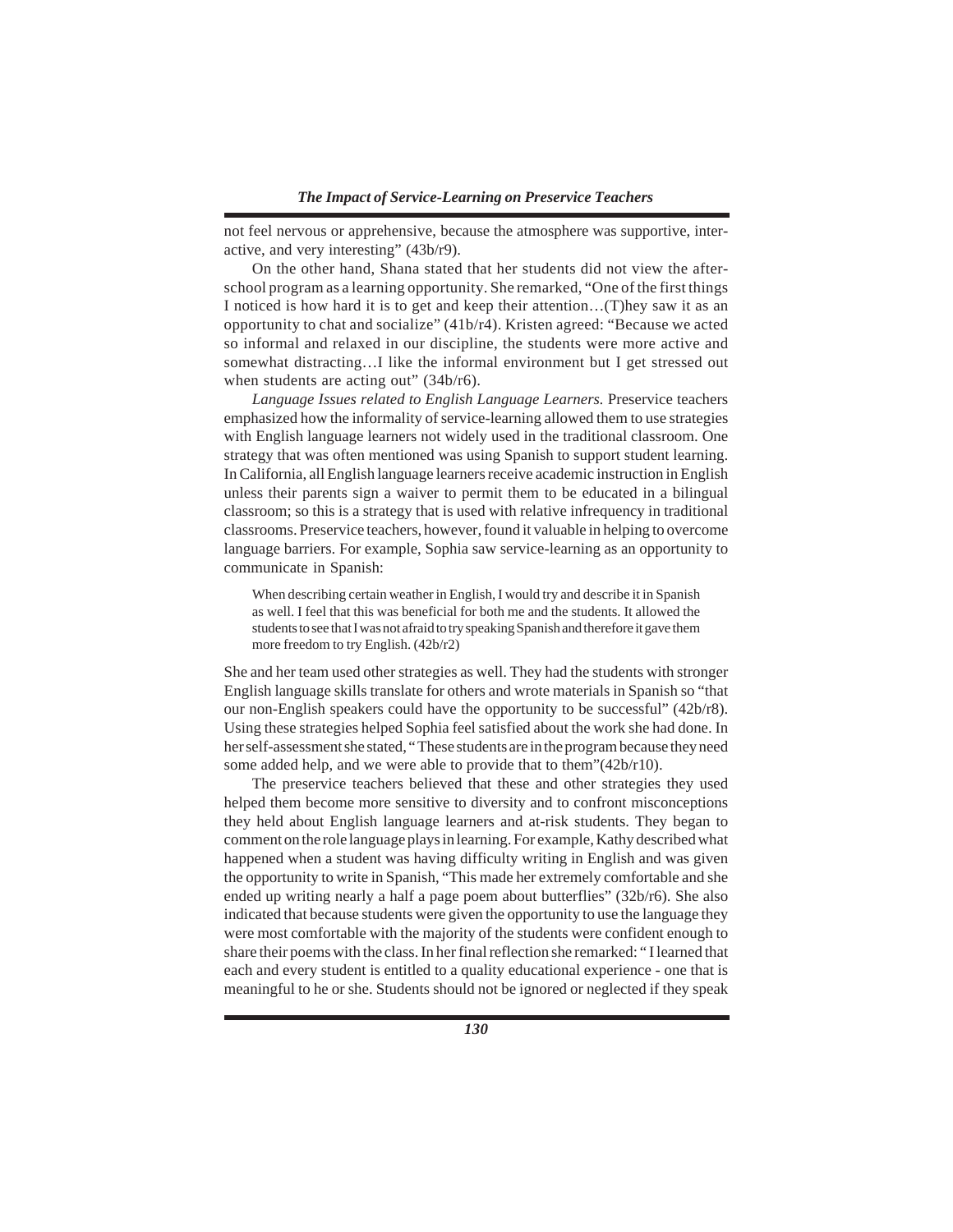not feel nervous or apprehensive, because the atmosphere was supportive, interactive, and very interesting" (43b/r9).

On the other hand, Shana stated that her students did not view the afterschool program as a learning opportunity. She remarked, "One of the first things I noticed is how hard it is to get and keep their attention…(T)hey saw it as an opportunity to chat and socialize" (41b/r4). Kristen agreed: "Because we acted so informal and relaxed in our discipline, the students were more active and somewhat distracting…I like the informal environment but I get stressed out when students are acting out" (34b/r6).

*Language Issues related to English Language Learners.* Preservice teachers emphasized how the informality of service-learning allowed them to use strategies with English language learners not widely used in the traditional classroom. One strategy that was often mentioned was using Spanish to support student learning. In California, all English language learners receive academic instruction in English unless their parents sign a waiver to permit them to be educated in a bilingual classroom; so this is a strategy that is used with relative infrequency in traditional classrooms. Preservice teachers, however, found it valuable in helping to overcome language barriers. For example, Sophia saw service-learning as an opportunity to communicate in Spanish:

When describing certain weather in English, I would try and describe it in Spanish as well. I feel that this was beneficial for both me and the students. It allowed the students to see that I was not afraid to try speaking Spanish and therefore it gave them more freedom to try English. (42b/r2)

She and her team used other strategies as well. They had the students with stronger English language skills translate for others and wrote materials in Spanish so "that our non-English speakers could have the opportunity to be successful" (42b/r8). Using these strategies helped Sophia feel satisfied about the work she had done. In her self-assessment she stated, " These students are in the program because they need some added help, and we were able to provide that to them"(42b/r10).

The preservice teachers believed that these and other strategies they used helped them become more sensitive to diversity and to confront misconceptions they held about English language learners and at-risk students. They began to comment on the role language plays in learning. For example, Kathy described what happened when a student was having difficulty writing in English and was given the opportunity to write in Spanish, "This made her extremely comfortable and she ended up writing nearly a half a page poem about butterflies" (32b/r6). She also indicated that because students were given the opportunity to use the language they were most comfortable with the majority of the students were confident enough to share their poems with the class. In her final reflection she remarked: " I learned that each and every student is entitled to a quality educational experience - one that is meaningful to he or she. Students should not be ignored or neglected if they speak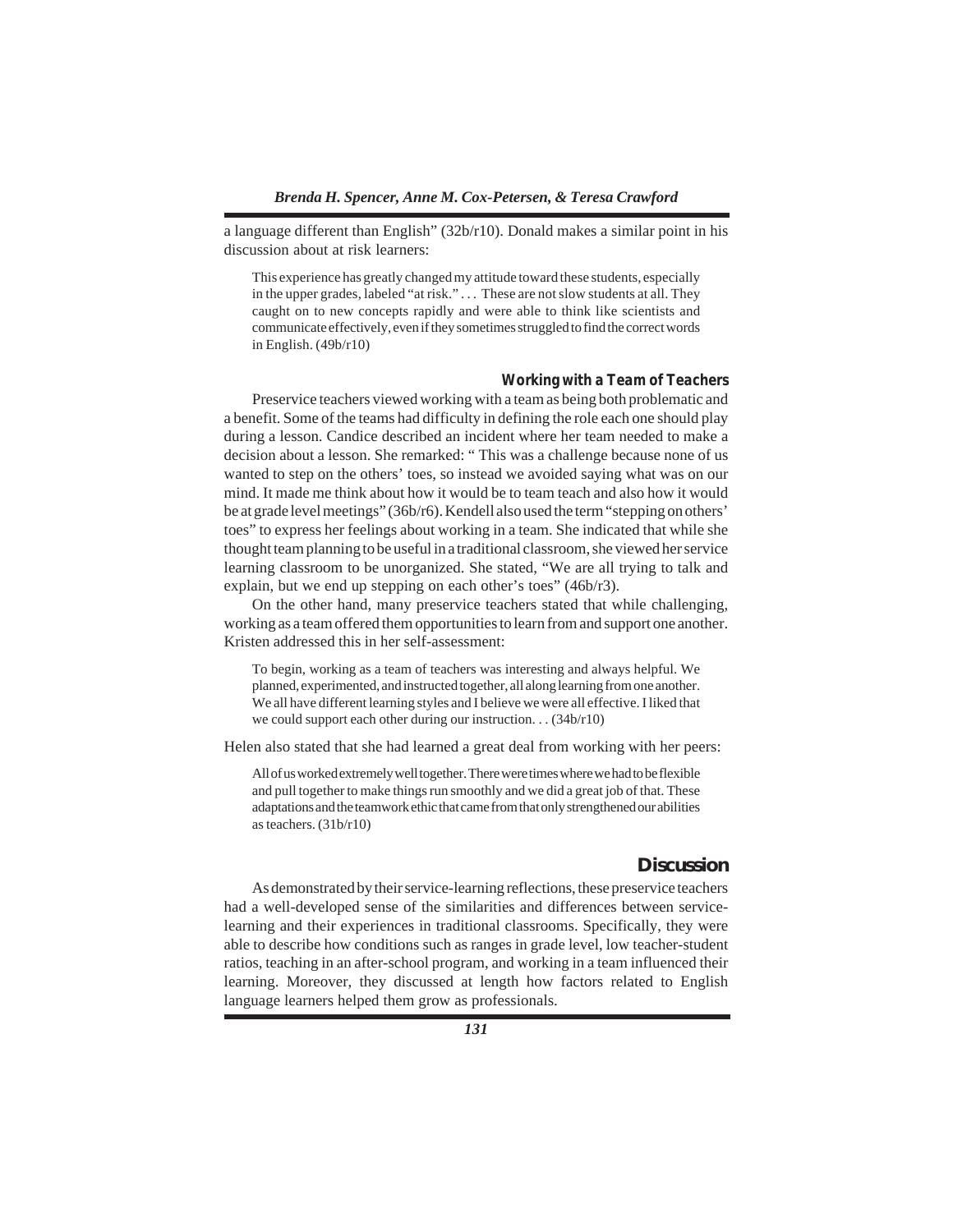a language different than English" (32b/r10). Donald makes a similar point in his discussion about at risk learners:

This experience has greatly changed my attitude toward these students, especially in the upper grades, labeled "at risk." . . . These are not slow students at all. They caught on to new concepts rapidly and were able to think like scientists and communicate effectively, even if they sometimes struggled to find the correct words in English. (49b/r10)

#### *Working with a Team of Teachers*

Preservice teachers viewed working with a team as being both problematic and a benefit. Some of the teams had difficulty in defining the role each one should play during a lesson. Candice described an incident where her team needed to make a decision about a lesson. She remarked: " This was a challenge because none of us wanted to step on the others' toes, so instead we avoided saying what was on our mind. It made me think about how it would be to team teach and also how it would be at grade level meetings" (36b/r6). Kendell also used the term "stepping on others' toes" to express her feelings about working in a team. She indicated that while she thought team planning to be useful in a traditional classroom, she viewed her service learning classroom to be unorganized. She stated, "We are all trying to talk and explain, but we end up stepping on each other's toes" (46b/r3).

On the other hand, many preservice teachers stated that while challenging, working as a team offered them opportunities to learn from and support one another. Kristen addressed this in her self-assessment:

To begin, working as a team of teachers was interesting and always helpful. We planned, experimented, and instructed together, all along learning from one another. We all have different learning styles and I believe we were all effective. I liked that we could support each other during our instruction. . . (34b/r10)

Helen also stated that she had learned a great deal from working with her peers:

All of us worked extremely well together. There were times where we had to be flexible and pull together to make things run smoothly and we did a great job of that. These adaptations and the teamwork ethic that came from that only strengthened our abilities as teachers. (31b/r10)

# **Discussion**

As demonstrated by their service-learning reflections, these preservice teachers had a well-developed sense of the similarities and differences between servicelearning and their experiences in traditional classrooms. Specifically, they were able to describe how conditions such as ranges in grade level, low teacher-student ratios, teaching in an after-school program, and working in a team influenced their learning. Moreover, they discussed at length how factors related to English language learners helped them grow as professionals.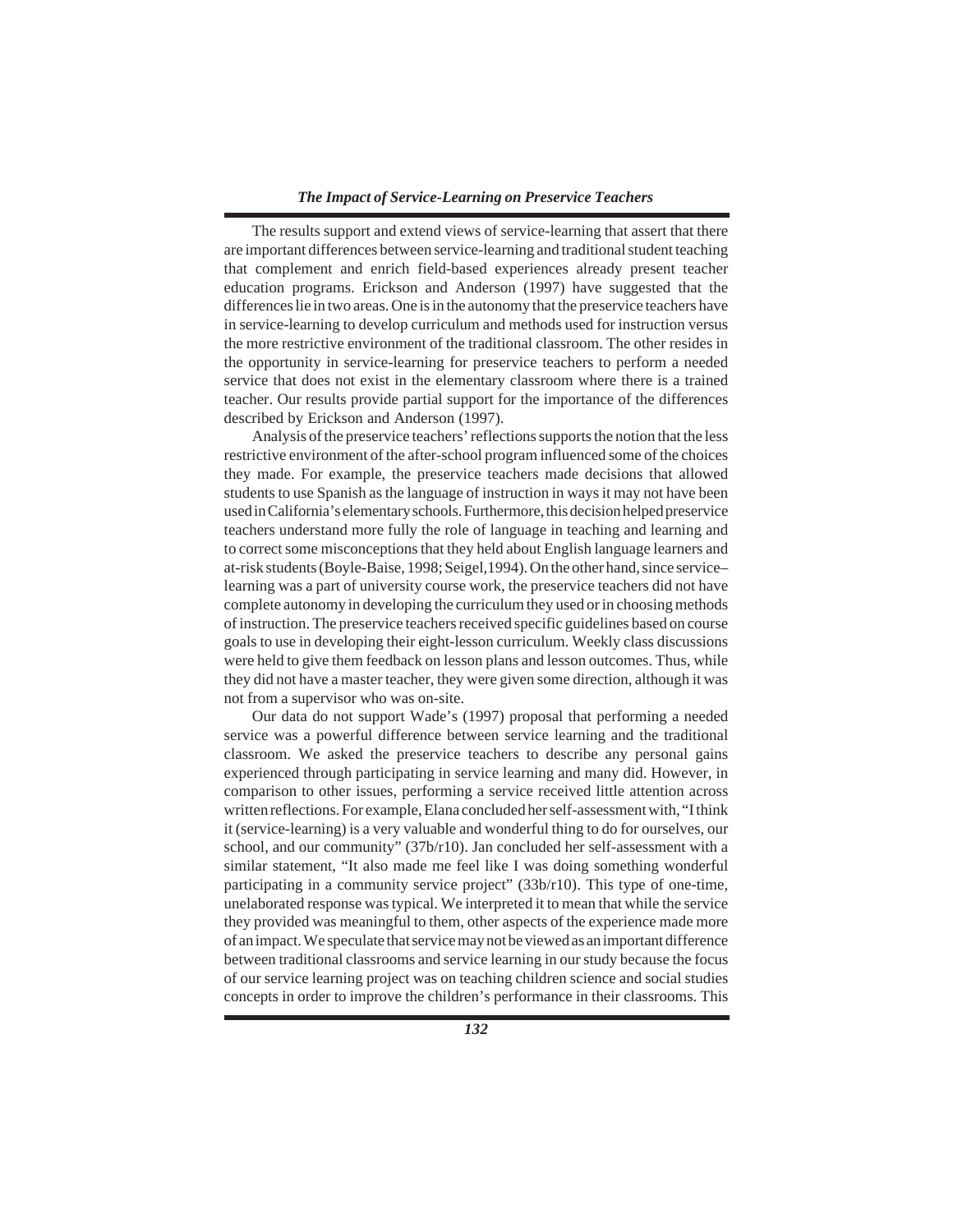## *The Impact of Service-Learning on Preservice Teachers*

The results support and extend views of service-learning that assert that there are important differences between service-learning and traditional student teaching that complement and enrich field-based experiences already present teacher education programs. Erickson and Anderson (1997) have suggested that the differences lie in two areas. One is in the autonomy that the preservice teachers have in service-learning to develop curriculum and methods used for instruction versus the more restrictive environment of the traditional classroom. The other resides in the opportunity in service-learning for preservice teachers to perform a needed service that does not exist in the elementary classroom where there is a trained teacher. Our results provide partial support for the importance of the differences described by Erickson and Anderson (1997).

Analysis of the preservice teachers' reflections supports the notion that the less restrictive environment of the after-school program influenced some of the choices they made. For example, the preservice teachers made decisions that allowed students to use Spanish as the language of instruction in ways it may not have been used in California's elementary schools. Furthermore, this decision helped preservice teachers understand more fully the role of language in teaching and learning and to correct some misconceptions that they held about English language learners and at-risk students (Boyle-Baise, 1998; Seigel,1994). On the other hand, since service– learning was a part of university course work, the preservice teachers did not have complete autonomy in developing the curriculum they used or in choosing methods of instruction. The preservice teachers received specific guidelines based on course goals to use in developing their eight-lesson curriculum. Weekly class discussions were held to give them feedback on lesson plans and lesson outcomes. Thus, while they did not have a master teacher, they were given some direction, although it was not from a supervisor who was on-site.

Our data do not support Wade's (1997) proposal that performing a needed service was a powerful difference between service learning and the traditional classroom. We asked the preservice teachers to describe any personal gains experienced through participating in service learning and many did. However, in comparison to other issues, performing a service received little attention across written reflections. For example, Elana concluded her self-assessment with, "I think it (service-learning) is a very valuable and wonderful thing to do for ourselves, our school, and our community" (37b/r10). Jan concluded her self-assessment with a similar statement, "It also made me feel like I was doing something wonderful participating in a community service project" (33b/r10). This type of one-time, unelaborated response was typical. We interpreted it to mean that while the service they provided was meaningful to them, other aspects of the experience made more of an impact. We speculate that service may not be viewed as an important difference between traditional classrooms and service learning in our study because the focus of our service learning project was on teaching children science and social studies concepts in order to improve the children's performance in their classrooms. This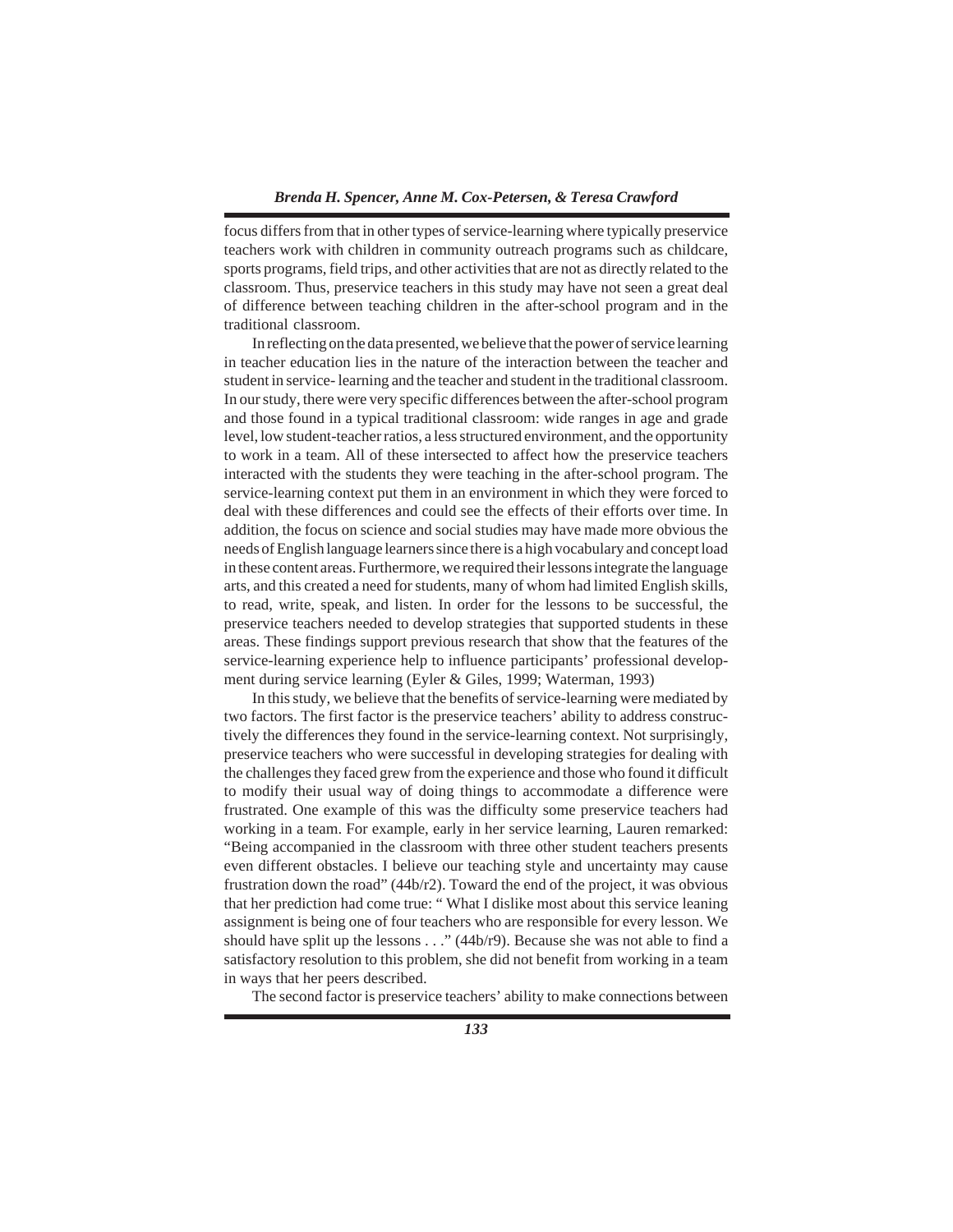## *Brenda H. Spencer, Anne M. Cox-Petersen, & Teresa Crawford*

focus differs from that in other types of service-learning where typically preservice teachers work with children in community outreach programs such as childcare, sports programs, field trips, and other activities that are not as directly related to the classroom. Thus, preservice teachers in this study may have not seen a great deal of difference between teaching children in the after-school program and in the traditional classroom.

In reflecting on the data presented, we believe that the power of service learning in teacher education lies in the nature of the interaction between the teacher and student in service- learning and the teacher and student in the traditional classroom. In our study, there were very specific differences between the after-school program and those found in a typical traditional classroom: wide ranges in age and grade level, low student-teacher ratios, a less structured environment, and the opportunity to work in a team. All of these intersected to affect how the preservice teachers interacted with the students they were teaching in the after-school program. The service-learning context put them in an environment in which they were forced to deal with these differences and could see the effects of their efforts over time. In addition, the focus on science and social studies may have made more obvious the needs of English language learners since there is a high vocabulary and concept load in these content areas. Furthermore, we required their lessons integrate the language arts, and this created a need for students, many of whom had limited English skills, to read, write, speak, and listen. In order for the lessons to be successful, the preservice teachers needed to develop strategies that supported students in these areas. These findings support previous research that show that the features of the service-learning experience help to influence participants' professional development during service learning (Eyler & Giles, 1999; Waterman, 1993)

In this study, we believe that the benefits of service-learning were mediated by two factors. The first factor is the preservice teachers' ability to address constructively the differences they found in the service-learning context. Not surprisingly, preservice teachers who were successful in developing strategies for dealing with the challenges they faced grew from the experience and those who found it difficult to modify their usual way of doing things to accommodate a difference were frustrated. One example of this was the difficulty some preservice teachers had working in a team. For example, early in her service learning, Lauren remarked: "Being accompanied in the classroom with three other student teachers presents even different obstacles. I believe our teaching style and uncertainty may cause frustration down the road"  $(44b/r2)$ . Toward the end of the project, it was obvious that her prediction had come true: " What I dislike most about this service leaning assignment is being one of four teachers who are responsible for every lesson. We should have split up the lessons  $\ldots$  " (44b/r9). Because she was not able to find a satisfactory resolution to this problem, she did not benefit from working in a team in ways that her peers described.

The second factor is preservice teachers' ability to make connections between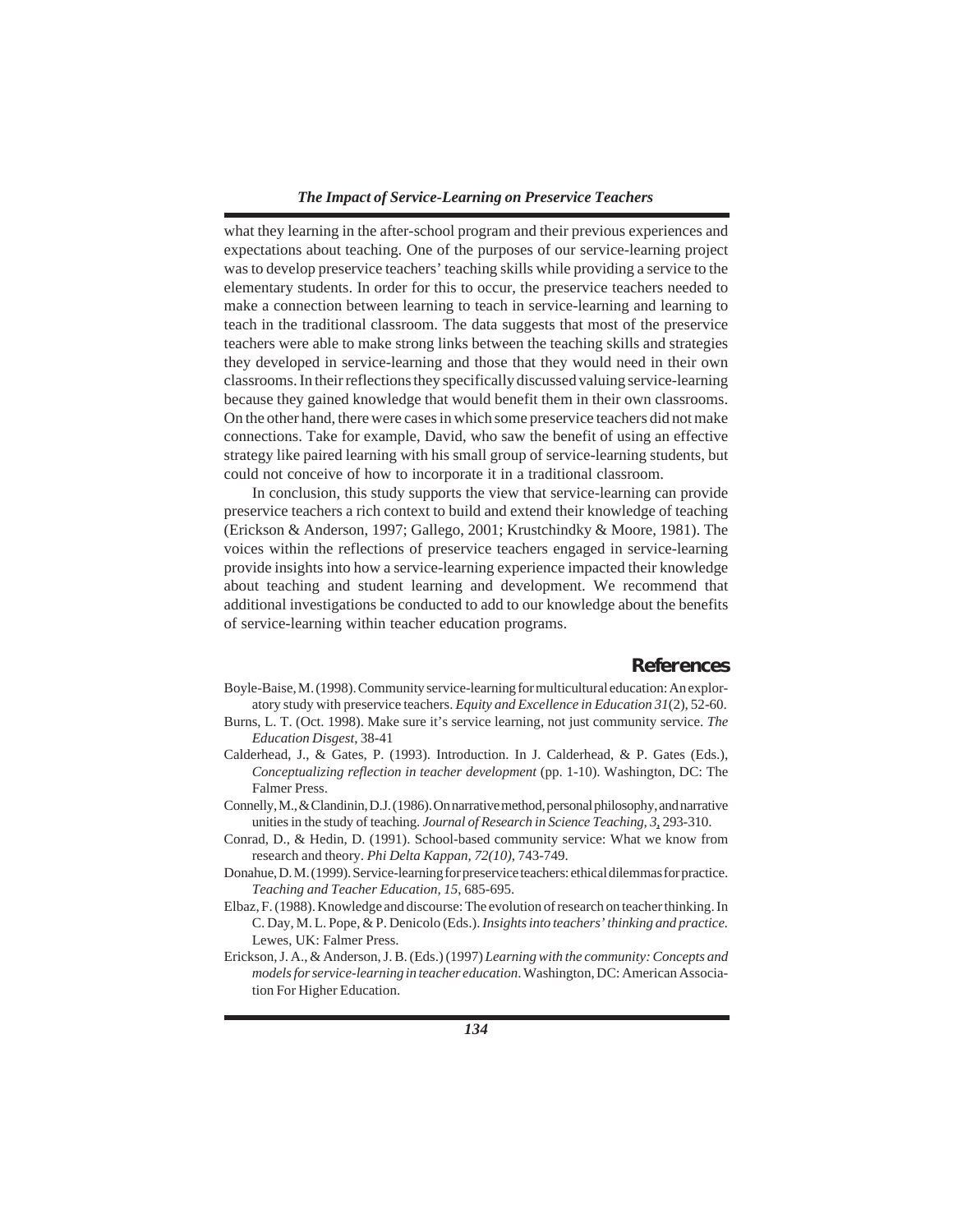what they learning in the after-school program and their previous experiences and expectations about teaching. One of the purposes of our service-learning project was to develop preservice teachers' teaching skills while providing a service to the elementary students. In order for this to occur, the preservice teachers needed to make a connection between learning to teach in service-learning and learning to teach in the traditional classroom. The data suggests that most of the preservice teachers were able to make strong links between the teaching skills and strategies they developed in service-learning and those that they would need in their own classrooms. In their reflections they specifically discussed valuing service-learning because they gained knowledge that would benefit them in their own classrooms. On the other hand, there were cases in which some preservice teachers did not make connections. Take for example, David, who saw the benefit of using an effective strategy like paired learning with his small group of service-learning students, but could not conceive of how to incorporate it in a traditional classroom.

In conclusion, this study supports the view that service-learning can provide preservice teachers a rich context to build and extend their knowledge of teaching (Erickson & Anderson, 1997; Gallego, 2001; Krustchindky & Moore, 1981). The voices within the reflections of preservice teachers engaged in service-learning provide insights into how a service-learning experience impacted their knowledge about teaching and student learning and development. We recommend that additional investigations be conducted to add to our knowledge about the benefits of service-learning within teacher education programs.

# **References**

- Boyle-Baise, M. (1998). Community service-learning for multicultural education: An exploratory study with preservice teachers. *Equity and Excellence in Education 31*(2), 52-60.
- Burns, L. T. (Oct. 1998). Make sure it's service learning, not just community service. *The Education Disgest*, 38-41
- Calderhead, J., & Gates, P. (1993). Introduction. In J. Calderhead, & P. Gates (Eds.), *Conceptualizing reflection in teacher development* (pp. 1-10). Washington, DC: The Falmer Press.
- Connelly, M., & Clandinin, D.J. (1986). On narrative method, personal philosophy, and narrative unities in the study of teaching. *Journal of Research in Science Teaching, 3*, 293-310.
- Conrad, D., & Hedin, D. (1991). School-based community service: What we know from research and theory. *Phi Delta Kappan, 72(10)*, 743-749.
- Donahue, D. M. (1999). Service-learning for preservice teachers: ethical dilemmas for practice. *Teaching and Teacher Education, 15*, 685-695.
- Elbaz, F. (1988). Knowledge and discourse: The evolution of research on teacher thinking. In C. Day, M. L. Pope, & P. Denicolo (Eds.). *Insights into teachers' thinking and practice.* Lewes, UK: Falmer Press.
- Erickson, J. A., & Anderson, J. B. (Eds.) (1997) *Learning with the community: Concepts and models for service-learning in teacher education*. Washington, DC: American Association For Higher Education.